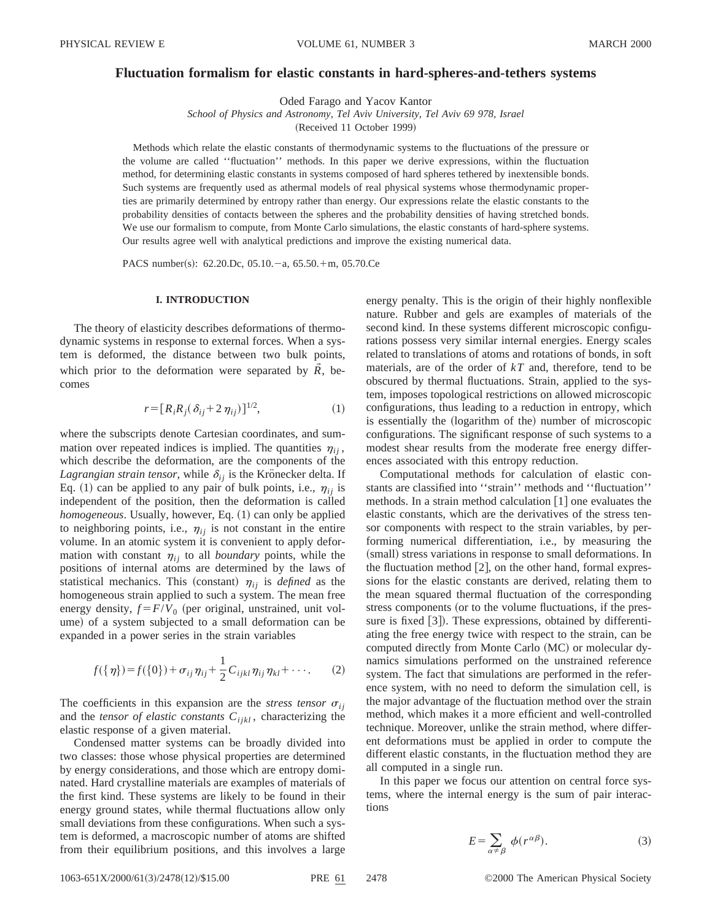# **Fluctuation formalism for elastic constants in hard-spheres-and-tethers systems**

Oded Farago and Yacov Kantor

*School of Physics and Astronomy, Tel Aviv University, Tel Aviv 69 978, Israel*

(Received 11 October 1999)

Methods which relate the elastic constants of thermodynamic systems to the fluctuations of the pressure or the volume are called ''fluctuation'' methods. In this paper we derive expressions, within the fluctuation method, for determining elastic constants in systems composed of hard spheres tethered by inextensible bonds. Such systems are frequently used as athermal models of real physical systems whose thermodynamic properties are primarily determined by entropy rather than energy. Our expressions relate the elastic constants to the probability densities of contacts between the spheres and the probability densities of having stretched bonds. We use our formalism to compute, from Monte Carlo simulations, the elastic constants of hard-sphere systems. Our results agree well with analytical predictions and improve the existing numerical data.

PACS number(s):  $62.20 \text{.}$ Dc,  $05.10.-a$ ,  $65.50.+m$ ,  $05.70 \text{.}$ Ce

## **I. INTRODUCTION**

The theory of elasticity describes deformations of thermodynamic systems in response to external forces. When a system is deformed, the distance between two bulk points, which prior to the deformation were separated by  $\hat{R}$ , becomes

$$
r = [R_i R_j (\delta_{ij} + 2 \eta_{ij})]^{1/2}, \tag{1}
$$

where the subscripts denote Cartesian coordinates, and summation over repeated indices is implied. The quantities  $\eta_{ii}$ , which describe the deformation, are the components of the *Lagrangian strain tensor*, while  $\delta_{ij}$  is the Krönecker delta. If Eq. (1) can be applied to any pair of bulk points, i.e.,  $\eta_{ii}$  is independent of the position, then the deformation is called *homogeneous*. Usually, however, Eq. (1) can only be applied to neighboring points, i.e.,  $\eta_{ij}$  is not constant in the entire volume. In an atomic system it is convenient to apply deformation with constant  $\eta_{ij}$  to all *boundary* points, while the positions of internal atoms are determined by the laws of statistical mechanics. This (constant)  $\eta_{ij}$  is *defined* as the homogeneous strain applied to such a system. The mean free energy density,  $f = F/V_0$  (per original, unstrained, unit volume) of a system subjected to a small deformation can be expanded in a power series in the strain variables

$$
f({\eta})=f({0})+\sigma_{ij}\eta_{ij}+\frac{1}{2}C_{ijkl}\eta_{ij}\eta_{kl}+\cdots.
$$
 (2)

The coefficients in this expansion are the *stress tensor*  $\sigma_{ii}$ and the *tensor of elastic constants*  $C_{ijkl}$ , characterizing the elastic response of a given material.

Condensed matter systems can be broadly divided into two classes: those whose physical properties are determined by energy considerations, and those which are entropy dominated. Hard crystalline materials are examples of materials of the first kind. These systems are likely to be found in their energy ground states, while thermal fluctuations allow only small deviations from these configurations. When such a system is deformed, a macroscopic number of atoms are shifted from their equilibrium positions, and this involves a large energy penalty. This is the origin of their highly nonflexible nature. Rubber and gels are examples of materials of the second kind. In these systems different microscopic configurations possess very similar internal energies. Energy scales related to translations of atoms and rotations of bonds, in soft materials, are of the order of *kT* and, therefore, tend to be obscured by thermal fluctuations. Strain, applied to the system, imposes topological restrictions on allowed microscopic configurations, thus leading to a reduction in entropy, which is essentially the (logarithm of the) number of microscopic configurations. The significant response of such systems to a modest shear results from the moderate free energy differences associated with this entropy reduction.

Computational methods for calculation of elastic constants are classified into ''strain'' methods and ''fluctuation'' methods. In a strain method calculation  $\lceil 1 \rceil$  one evaluates the elastic constants, which are the derivatives of the stress tensor components with respect to the strain variables, by performing numerical differentiation, i.e., by measuring the (small) stress variations in response to small deformations. In the fluctuation method  $[2]$ , on the other hand, formal expressions for the elastic constants are derived, relating them to the mean squared thermal fluctuation of the corresponding stress components (or to the volume fluctuations, if the pressure is fixed  $\lceil 3 \rceil$ . These expressions, obtained by differentiating the free energy twice with respect to the strain, can be computed directly from Monte Carlo (MC) or molecular dynamics simulations performed on the unstrained reference system. The fact that simulations are performed in the reference system, with no need to deform the simulation cell, is the major advantage of the fluctuation method over the strain method, which makes it a more efficient and well-controlled technique. Moreover, unlike the strain method, where different deformations must be applied in order to compute the different elastic constants, in the fluctuation method they are all computed in a single run.

In this paper we focus our attention on central force systems, where the internal energy is the sum of pair interactions

$$
E = \sum_{\alpha \neq \beta} \phi(r^{\alpha \beta}).
$$
 (3)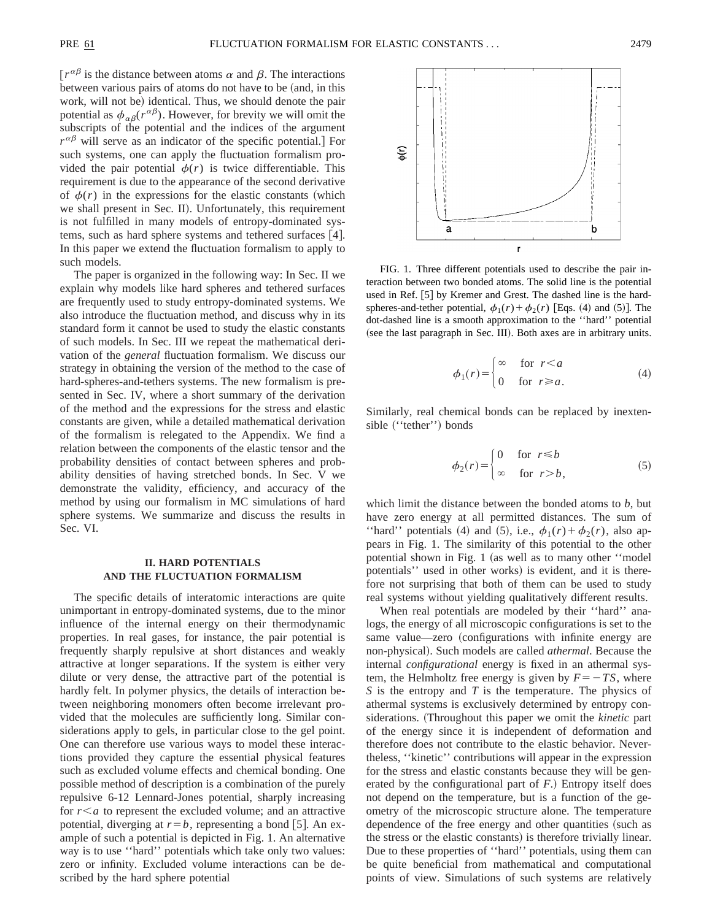$[r^{\alpha\beta}]$  is the distance between atoms  $\alpha$  and  $\beta$ . The interactions between various pairs of atoms do not have to be (and, in this work, will not be) identical. Thus, we should denote the pair potential as  $\phi_{\alpha\beta}(r^{\alpha\beta})$ . However, for brevity we will omit the subscripts of the potential and the indices of the argument  $r^{\alpha\beta}$  will serve as an indicator of the specific potential. For such systems, one can apply the fluctuation formalism provided the pair potential  $\phi(r)$  is twice differentiable. This requirement is due to the appearance of the second derivative of  $\phi(r)$  in the expressions for the elastic constants (which we shall present in Sec. II). Unfortunately, this requirement is not fulfilled in many models of entropy-dominated systems, such as hard sphere systems and tethered surfaces  $[4]$ . In this paper we extend the fluctuation formalism to apply to such models.

The paper is organized in the following way: In Sec. II we explain why models like hard spheres and tethered surfaces are frequently used to study entropy-dominated systems. We also introduce the fluctuation method, and discuss why in its standard form it cannot be used to study the elastic constants of such models. In Sec. III we repeat the mathematical derivation of the *general* fluctuation formalism. We discuss our strategy in obtaining the version of the method to the case of hard-spheres-and-tethers systems. The new formalism is presented in Sec. IV, where a short summary of the derivation of the method and the expressions for the stress and elastic constants are given, while a detailed mathematical derivation of the formalism is relegated to the Appendix. We find a relation between the components of the elastic tensor and the probability densities of contact between spheres and probability densities of having stretched bonds. In Sec. V we demonstrate the validity, efficiency, and accuracy of the method by using our formalism in MC simulations of hard sphere systems. We summarize and discuss the results in Sec. VI.

# **II. HARD POTENTIALS AND THE FLUCTUATION FORMALISM**

The specific details of interatomic interactions are quite unimportant in entropy-dominated systems, due to the minor influence of the internal energy on their thermodynamic properties. In real gases, for instance, the pair potential is frequently sharply repulsive at short distances and weakly attractive at longer separations. If the system is either very dilute or very dense, the attractive part of the potential is hardly felt. In polymer physics, the details of interaction between neighboring monomers often become irrelevant provided that the molecules are sufficiently long. Similar considerations apply to gels, in particular close to the gel point. One can therefore use various ways to model these interactions provided they capture the essential physical features such as excluded volume effects and chemical bonding. One possible method of description is a combination of the purely repulsive 6-12 Lennard-Jones potential, sharply increasing for  $r < a$  to represent the excluded volume; and an attractive potential, diverging at  $r=b$ , representing a bond [5]. An example of such a potential is depicted in Fig. 1. An alternative way is to use ''hard'' potentials which take only two values: zero or infinity. Excluded volume interactions can be described by the hard sphere potential



FIG. 1. Three different potentials used to describe the pair interaction between two bonded atoms. The solid line is the potential used in Ref. [5] by Kremer and Grest. The dashed line is the hardspheres-and-tether potential,  $\phi_1(r) + \phi_2(r)$  [Eqs. (4) and (5)]. The dot-dashed line is a smooth approximation to the ''hard'' potential (see the last paragraph in Sec. III). Both axes are in arbitrary units.

$$
\phi_1(r) = \begin{cases} \infty & \text{for } r < a \\ 0 & \text{for } r \ge a. \end{cases} \tag{4}
$$

Similarly, real chemical bonds can be replaced by inextensible ("tether") bonds

$$
\phi_2(r) = \begin{cases} 0 & \text{for } r \le b \\ \infty & \text{for } r > b, \end{cases} \tag{5}
$$

which limit the distance between the bonded atoms to *b*, but have zero energy at all permitted distances. The sum of "hard" potentials (4) and (5), i.e.,  $\phi_1(r) + \phi_2(r)$ , also appears in Fig. 1. The similarity of this potential to the other potential shown in Fig. 1 (as well as to many other "model" potentials'' used in other works) is evident, and it is therefore not surprising that both of them can be used to study real systems without yielding qualitatively different results.

When real potentials are modeled by their ''hard'' analogs, the energy of all microscopic configurations is set to the same value—zero (configurations with infinite energy are non-physical). Such models are called *athermal*. Because the internal *configurational* energy is fixed in an athermal system, the Helmholtz free energy is given by  $F=-TS$ , where *S* is the entropy and *T* is the temperature. The physics of athermal systems is exclusively determined by entropy considerations. (Throughout this paper we omit the *kinetic* part of the energy since it is independent of deformation and therefore does not contribute to the elastic behavior. Nevertheless, ''kinetic'' contributions will appear in the expression for the stress and elastic constants because they will be generated by the configurational part of  $F$ .) Entropy itself does not depend on the temperature, but is a function of the geometry of the microscopic structure alone. The temperature dependence of the free energy and other quantities (such as the stress or the elastic constants) is therefore trivially linear. Due to these properties of ''hard'' potentials, using them can be quite beneficial from mathematical and computational points of view. Simulations of such systems are relatively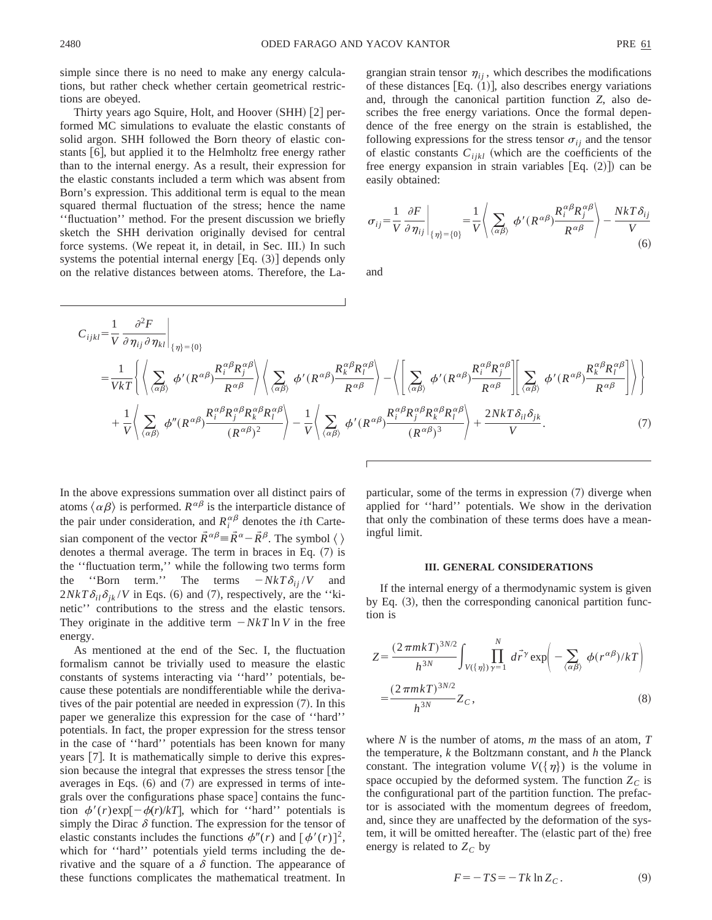simple since there is no need to make any energy calculations, but rather check whether certain geometrical restrictions are obeyed.

Thirty years ago Squire, Holt, and Hoover  $(SHH)$  [2] performed MC simulations to evaluate the elastic constants of solid argon. SHH followed the Born theory of elastic constants  $[6]$ , but applied it to the Helmholtz free energy rather than to the internal energy. As a result, their expression for the elastic constants included a term which was absent from Born's expression. This additional term is equal to the mean squared thermal fluctuation of the stress; hence the name ''fluctuation'' method. For the present discussion we briefly sketch the SHH derivation originally devised for central force systems. (We repeat it, in detail, in Sec. III.) In such systems the potential internal energy  $[Eq. (3)]$  depends only on the relative distances between atoms. Therefore, the La-

 $2E$ 

grangian strain tensor  $\eta_{ij}$ , which describes the modifications of these distances [Eq.  $(1)$ ], also describes energy variations and, through the canonical partition function *Z*, also describes the free energy variations. Once the formal dependence of the free energy on the strain is established, the following expressions for the stress tensor  $\sigma_{ij}$  and the tensor of elastic constants  $C_{ijkl}$  (which are the coefficients of the free energy expansion in strain variables  $[Eq. (2)]$  can be easily obtained:

$$
\sigma_{ij} = \frac{1}{V} \frac{\partial F}{\partial \eta_{ij}} \bigg|_{\{\eta\} = \{0\}} = \frac{1}{V} \left\langle \sum_{\langle \alpha \beta \rangle} \phi'(R^{\alpha \beta}) \frac{R_i^{\alpha \beta} R_j^{\alpha \beta}}{R^{\alpha \beta}} \right\rangle - \frac{N k T \delta_{ij}}{V}
$$
\n(6)

and

$$
C_{ijkl} = \frac{1}{V} \frac{\partial^2 F}{\partial \eta_{ij} \partial \eta_{kl}} \Big|_{\{\eta\} = \{0\}} = \frac{1}{VkT} \Bigg\{ \Bigg\langle \sum_{\langle \alpha \beta \rangle} \phi'(R^{\alpha\beta}) \frac{R_i^{\alpha\beta} R_j^{\alpha\beta}}{R^{\alpha\beta}} \Bigg\rangle \Bigg\langle \sum_{\langle \alpha \beta \rangle} \phi'(R^{\alpha\beta}) \frac{R_k^{\alpha\beta} R_l^{\alpha\beta}}{R^{\alpha\beta}} \Bigg\rangle - \Bigg\langle \Bigg[ \sum_{\langle \alpha \beta \rangle} \phi'(R^{\alpha\beta}) \frac{R_i^{\alpha\beta} R_j^{\alpha\beta}}{R^{\alpha\beta}} \Bigg] \Bigg[ \sum_{\langle \alpha \beta \rangle} \phi'(R^{\alpha\beta}) \frac{R_i^{\alpha\beta} R_j^{\alpha\beta}}{R^{\alpha\beta}} \Bigg\rangle \Bigg\rangle \Bigg\} + \frac{1}{V} \Bigg\langle \sum_{\langle \alpha \beta \rangle} \phi''(R^{\alpha\beta}) \frac{R_i^{\alpha\beta} R_j^{\alpha\beta} R_k^{\alpha\beta}}{(R^{\alpha\beta})^2} \Bigg\rangle - \frac{1}{V} \Bigg\langle \sum_{\langle \alpha \beta \rangle} \phi'(R^{\alpha\beta}) \frac{R_i^{\alpha\beta} R_j^{\alpha\beta} R_k^{\alpha\beta} R_l^{\alpha\beta}}{(R^{\alpha\beta})^3} \Bigg\rangle + \frac{2NkT \delta_{il} \delta_{jk}}{V}.
$$
 (7)

In the above expressions summation over all distinct pairs of atoms  $\langle \alpha \beta \rangle$  is performed.  $R^{\alpha\beta}$  is the interparticle distance of the pair under consideration, and  $R_i^{\alpha\beta}$  denotes the *i*th Cartesian component of the vector  $\vec{R}^{\alpha\beta} = \vec{R}^{\alpha} - \vec{R}^{\beta}$ . The symbol  $\langle \ \rangle$ denotes a thermal average. The term in braces in Eq.  $(7)$  is the ''fluctuation term,'' while the following two terms form the "Born term." The terms  $-NkT\delta_{ij}/V$  and  $2NkT\delta_{il}\delta_{jk}$  /*V* in Eqs. (6) and (7), respectively, are the "kinetic'' contributions to the stress and the elastic tensors. They originate in the additive term  $-NkT \ln V$  in the free energy.

As mentioned at the end of the Sec. I, the fluctuation formalism cannot be trivially used to measure the elastic constants of systems interacting via ''hard'' potentials, because these potentials are nondifferentiable while the derivatives of the pair potential are needed in expression  $(7)$ . In this paper we generalize this expression for the case of ''hard'' potentials. In fact, the proper expression for the stress tensor in the case of ''hard'' potentials has been known for many years  $[7]$ . It is mathematically simple to derive this expression because the integral that expresses the stress tensor [the averages in Eqs.  $(6)$  and  $(7)$  are expressed in terms of integrals over the configurations phase space] contains the function  $\phi'(r)exp[-\phi(r)/kT]$ , which for "hard" potentials is simply the Dirac  $\delta$  function. The expression for the tensor of elastic constants includes the functions  $\phi''(r)$  and  $[\phi'(r)]^2$ , which for ''hard'' potentials yield terms including the derivative and the square of a  $\delta$  function. The appearance of these functions complicates the mathematical treatment. In particular, some of the terms in expression  $(7)$  diverge when applied for ''hard'' potentials. We show in the derivation that only the combination of these terms does have a meaningful limit.

### **III. GENERAL CONSIDERATIONS**

If the internal energy of a thermodynamic system is given by Eq.  $(3)$ , then the corresponding canonical partition function is

$$
Z = \frac{(2 \pi m k T)^{3N/2}}{h^{3N}} \int_{V(\lbrace \eta \rbrace)} \prod_{\gamma=1}^{N} d\vec{r}^{\gamma} \exp\left(-\sum_{\langle \alpha \beta \rangle} \phi(r^{\alpha \beta}) / kT\right)
$$

$$
= \frac{(2 \pi m k T)^{3N/2}}{h^{3N}} Z_C,
$$
(8)

where *N* is the number of atoms, *m* the mass of an atom, *T* the temperature, *k* the Boltzmann constant, and *h* the Planck constant. The integration volume  $V(\{\eta\})$  is the volume in space occupied by the deformed system. The function  $Z_c$  is the configurational part of the partition function. The prefactor is associated with the momentum degrees of freedom, and, since they are unaffected by the deformation of the system, it will be omitted hereafter. The (elastic part of the) free energy is related to  $Z_c$  by

$$
F = -TS = -Tk \ln Z_C. \tag{9}
$$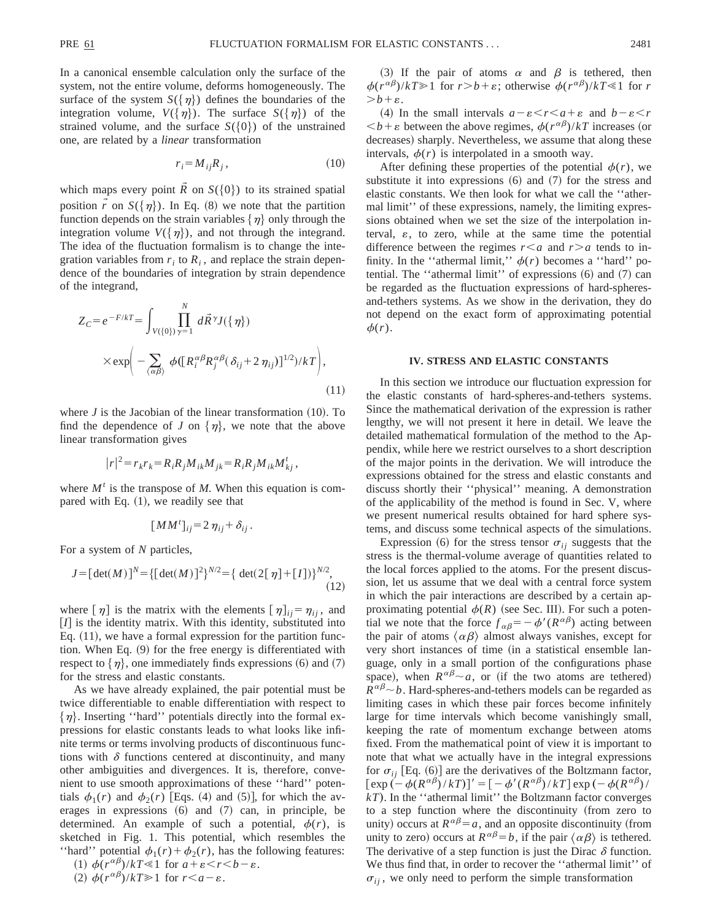In a canonical ensemble calculation only the surface of the system, not the entire volume, deforms homogeneously. The surface of the system  $S({\eta})$  defines the boundaries of the integration volume,  $V(\{\eta\})$ . The surface  $S(\{\eta\})$  of the strained volume, and the surface  $S({0})$  of the unstrained one, are related by a *linear* transformation

$$
r_i = M_{ij} R_j, \tag{10}
$$

which maps every point  $\hat{R}$  on  $S({0})$  to its strained spatial position  $\vec{r}$  on  $S(\{\eta\})$ . In Eq. (8) we note that the partition function depends on the strain variables  $\{\eta\}$  only through the integration volume  $V(\{\eta\})$ , and not through the integrand. The idea of the fluctuation formalism is to change the integration variables from  $r_i$  to  $R_i$ , and replace the strain dependence of the boundaries of integration by strain dependence of the integrand,

$$
Z_C = e^{-F/kT} = \int_{V(\{0\})} \prod_{\gamma=1}^N d\vec{R}^{\gamma} J(\{\eta\})
$$

$$
\times \exp\left(-\sum_{\langle \alpha\beta \rangle} \phi\left(\left[R_i^{\alpha\beta} R_j^{\alpha\beta} (\delta_{ij} + 2 \eta_{ij})\right]^{1/2}\right) / kT\right), \tag{11}
$$

where  $J$  is the Jacobian of the linear transformation  $(10)$ . To find the dependence of *J* on  $\{\eta\}$ , we note that the above linear transformation gives

$$
|r|^2 = r_k r_k = R_i R_j M_{ik} M_{jk} = R_i R_j M_{ik} M_{kj}^t,
$$

where  $M<sup>t</sup>$  is the transpose of M. When this equation is compared with Eq.  $(1)$ , we readily see that

$$
[MM^t]_{ij} = 2 \eta_{ij} + \delta_{ij}.
$$

For a system of *N* particles,

$$
J = [\det(M)]^N = {\det(M)]^2}^{N/2} = {\det(2[\eta] + [I])}^{N/2},
$$
\n(12)

where  $[\eta]$  is the matrix with the elements  $[\eta]_{ij} = \eta_{ij}$ , and [*I*] is the identity matrix. With this identity, substituted into Eq.  $(11)$ , we have a formal expression for the partition function. When Eq.  $(9)$  for the free energy is differentiated with respect to  $\{\eta\}$ , one immediately finds expressions (6) and (7) for the stress and elastic constants.

As we have already explained, the pair potential must be twice differentiable to enable differentiation with respect to  $\{\eta\}$ . Inserting "hard" potentials directly into the formal expressions for elastic constants leads to what looks like infinite terms or terms involving products of discontinuous functions with  $\delta$  functions centered at discontinuity, and many other ambiguities and divergences. It is, therefore, convenient to use smooth approximations of these ''hard'' potentials  $\phi_1(r)$  and  $\phi_2(r)$  [Eqs. (4) and (5)], for which the averages in expressions  $(6)$  and  $(7)$  can, in principle, be determined. An example of such a potential,  $\phi(r)$ , is sketched in Fig. 1. This potential, which resembles the "hard" potential  $\phi_1(r) + \phi_2(r)$ , has the following features:

 $(1)$   $\phi(r^{\alpha\beta})/kT \leq 1$  for  $a+\varepsilon < r < b-\varepsilon$ .

(2) 
$$
\phi(r^{\alpha\beta})/kT \ge 1
$$
 for  $r < a - \varepsilon$ .

(3) If the pair of atoms  $\alpha$  and  $\beta$  is tethered, then  $\phi(r^{\alpha\beta})/kT \geq 1$  for  $r > b + \varepsilon$ ; otherwise  $\phi(r^{\alpha\beta})/kT \leq 1$  for *r*  $>b+\varepsilon$ .

(4) In the small intervals  $a - \varepsilon < r < a + \varepsilon$  and  $b - \varepsilon < r$  **between the above regimes,**  $\phi(r^{\alpha\beta})/kT$  **increases (or** decreases) sharply. Nevertheless, we assume that along these intervals,  $\phi(r)$  is interpolated in a smooth way.

After defining these properties of the potential  $\phi(r)$ , we substitute it into expressions  $(6)$  and  $(7)$  for the stress and elastic constants. We then look for what we call the ''athermal limit'' of these expressions, namely, the limiting expressions obtained when we set the size of the interpolation interval,  $\varepsilon$ , to zero, while at the same time the potential difference between the regimes  $r < a$  and  $r > a$  tends to infinity. In the "athermal limit,"  $\phi(r)$  becomes a "hard" potential. The "athermal limit" of expressions  $(6)$  and  $(7)$  can be regarded as the fluctuation expressions of hard-spheresand-tethers systems. As we show in the derivation, they do not depend on the exact form of approximating potential  $\phi(r)$ .

#### **IV. STRESS AND ELASTIC CONSTANTS**

In this section we introduce our fluctuation expression for the elastic constants of hard-spheres-and-tethers systems. Since the mathematical derivation of the expression is rather lengthy, we will not present it here in detail. We leave the detailed mathematical formulation of the method to the Appendix, while here we restrict ourselves to a short description of the major points in the derivation. We will introduce the expressions obtained for the stress and elastic constants and discuss shortly their ''physical'' meaning. A demonstration of the applicability of the method is found in Sec. V, where we present numerical results obtained for hard sphere systems, and discuss some technical aspects of the simulations.

Expression (6) for the stress tensor  $\sigma_{ii}$  suggests that the stress is the thermal-volume average of quantities related to the local forces applied to the atoms. For the present discussion, let us assume that we deal with a central force system in which the pair interactions are described by a certain approximating potential  $\phi(R)$  (see Sec. III). For such a potential we note that the force  $f_{\alpha\beta} = -\phi'(R^{\alpha\beta})$  acting between the pair of atoms  $\langle \alpha \beta \rangle$  almost always vanishes, except for very short instances of time (in a statistical ensemble language, only in a small portion of the configurations phase space), when  $R^{\alpha\beta} \sim a$ , or (if the two atoms are tethered)  $R^{\alpha\beta} \sim b$ . Hard-spheres-and-tethers models can be regarded as limiting cases in which these pair forces become infinitely large for time intervals which become vanishingly small, keeping the rate of momentum exchange between atoms fixed. From the mathematical point of view it is important to note that what we actually have in the integral expressions for  $\sigma_{ii}$  [Eq. (6)] are the derivatives of the Boltzmann factor,  $\left[ \exp \left( -\phi (R^{\alpha\beta})/kT \right) \right]' = \left[ -\phi' (R^{\alpha\beta})/kT \right] \exp \left( -\phi (R^{\alpha\beta})/kT \right]$ *kT*). In the "athermal limit" the Boltzmann factor converges to a step function where the discontinuity (from zero to unity) occurs at  $R^{\alpha\beta} = a$ , and an opposite discontinuity (from unity to zero) occurs at  $R^{\alpha\beta} = b$ , if the pair  $\langle \alpha \beta \rangle$  is tethered. The derivative of a step function is just the Dirac  $\delta$  function. We thus find that, in order to recover the ''athermal limit'' of  $\sigma_{ij}$ , we only need to perform the simple transformation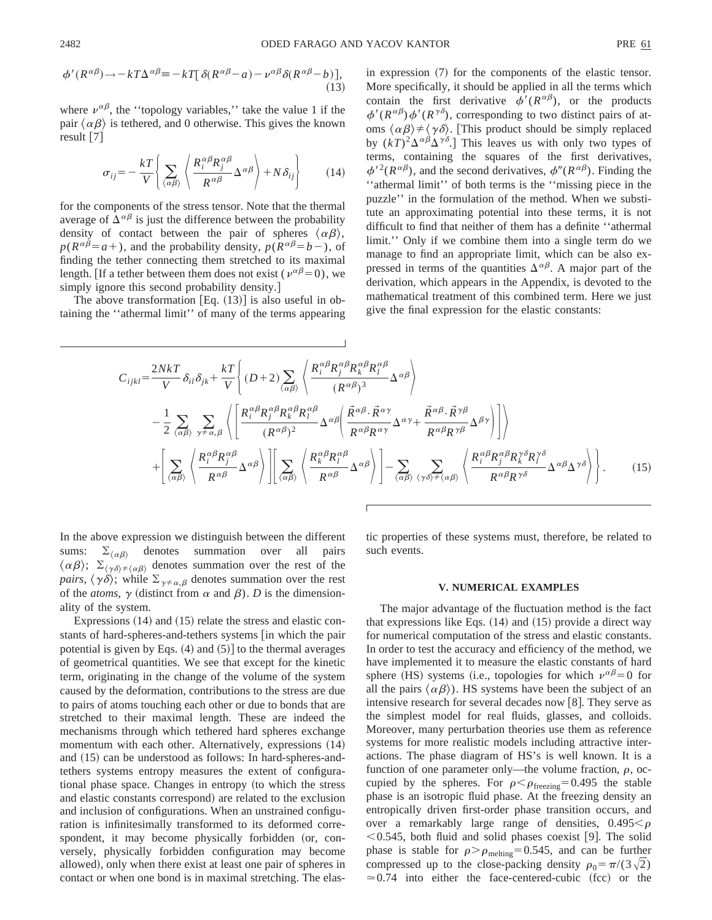$$
\phi'(R^{\alpha\beta}) \to -kT\Delta^{\alpha\beta} = -kT[\delta(R^{\alpha\beta} - a) - \nu^{\alpha\beta}\delta(R^{\alpha\beta} - b)],
$$
\n(13)

where  $v^{\alpha\beta}$ , the "topology variables," take the value 1 if the pair  $\langle \alpha \beta \rangle$  is tethered, and 0 otherwise. This gives the known result  $\lceil 7 \rceil$ 

$$
\sigma_{ij} = -\frac{kT}{V} \left\{ \sum_{\langle \alpha \beta \rangle} \left\langle \frac{R_i^{\alpha \beta} R_j^{\alpha \beta}}{R^{\alpha \beta}} \Delta^{\alpha \beta} \right\rangle + N \delta_{ij} \right\}
$$
(14)

for the components of the stress tensor. Note that the thermal average of  $\Delta^{\alpha\beta}$  is just the difference between the probability density of contact between the pair of spheres  $\langle \alpha \beta \rangle$ ,  $p(R^{\alpha\beta}=a+),$  and the probability density,  $p(R^{\alpha\beta}=b-),$  of finding the tether connecting them stretched to its maximal length. [If a tether between them does not exist ( $v^{\alpha\beta} = 0$ ), we simply ignore this second probability density.]

The above transformation  $[Eq. (13)]$  is also useful in obtaining the ''athermal limit'' of many of the terms appearing in expression  $(7)$  for the components of the elastic tensor. More specifically, it should be applied in all the terms which contain the first derivative  $\phi'(R^{\alpha\beta})$ , or the products  $\phi'(R^{\alpha\beta})\phi'(R^{\gamma\delta})$ , corresponding to two distinct pairs of atoms  $\langle \alpha \beta \rangle \neq \langle \gamma \delta \rangle$ . [This product should be simply replaced by  $(kT)^2 \Delta^{\alpha\beta} \Delta^{\gamma\delta}$ . This leaves us with only two types of terms, containing the squares of the first derivatives,  $\phi'^2(R^{\alpha\beta})$ , and the second derivatives,  $\phi''(R^{\alpha\beta})$ . Finding the ''athermal limit'' of both terms is the ''missing piece in the puzzle'' in the formulation of the method. When we substitute an approximating potential into these terms, it is not difficult to find that neither of them has a definite ''athermal limit.'' Only if we combine them into a single term do we manage to find an appropriate limit, which can be also expressed in terms of the quantities  $\Delta^{\alpha\beta}$ . A major part of the derivation, which appears in the Appendix, is devoted to the mathematical treatment of this combined term. Here we just give the final expression for the elastic constants:

$$
C_{ijkl} = \frac{2NkT}{V} \delta_{il} \delta_{jk} + \frac{kT}{V} \left\{ (D+2) \sum_{\alpha\beta} \left\{ \frac{R_i^{\alpha\beta} R_j^{\alpha\beta} R_k^{\alpha\beta} R_l^{\alpha\beta}}{(R^{\alpha\beta})^3} \Delta^{\alpha\beta} \right\} \right.- \frac{1}{2} \sum_{\alpha\beta} \sum_{\gamma \neq \alpha,\beta} \left\{ \left[ \frac{R_i^{\alpha\beta} R_j^{\alpha\beta} R_k^{\alpha\beta} R_l^{\alpha\beta}}{(R^{\alpha\beta})^2} \Delta^{\alpha\beta} \left( \frac{\vec{R}^{\alpha\beta} \cdot \vec{R}^{\alpha\gamma}}{R^{\alpha\beta} R^{\alpha\gamma}} \Delta^{\alpha\gamma} + \frac{\vec{R}^{\alpha\beta} \cdot \vec{R}^{\gamma\beta}}{R^{\alpha\beta} R^{\gamma\beta}} \Delta^{\beta\gamma} \right) \right] \right\}+ \left[ \sum_{\alpha\beta} \left\langle \frac{R_i^{\alpha\beta} R_j^{\alpha\beta}}{R^{\alpha\beta}} \Delta^{\alpha\beta} \right\rangle \left[ \left[ \sum_{\alpha\beta} \left\langle \frac{R_k^{\alpha\beta} R_l^{\alpha\beta}}{R^{\alpha\beta}} \Delta^{\alpha\beta} \right\rangle \right] - \sum_{\alpha\beta} \sum_{\langle\gamma\delta\rangle \neq \langle\alpha\beta\rangle} \left\langle \frac{R_i^{\alpha\beta} R_j^{\alpha\beta} R_i^{\gamma\delta} R_l^{\gamma\delta}}{R^{\alpha\beta} R^{\gamma\delta}} \Delta^{\alpha\beta} \Delta^{\gamma\delta} \right\rangle \right]. \tag{15}
$$

 $\overline{\phantom{a}}$ 

In the above expression we distinguish between the different sums:  $\Sigma_{\langle \alpha \beta \rangle}$  denotes summation over all pairs  $\langle \alpha \beta \rangle$ ;  $\Sigma_{\langle \gamma \delta \rangle \neq \langle \alpha \beta \rangle}$  denotes summation over the rest of the *pairs*,  $\langle \gamma \delta \rangle$ ; while  $\Sigma_{\gamma \neq \alpha,\beta}$  denotes summation over the rest of the *atoms*,  $\gamma$  (distinct from  $\alpha$  and  $\beta$ ). *D* is the dimensionality of the system.

Expressions  $(14)$  and  $(15)$  relate the stress and elastic constants of hard-spheres-and-tethers systems *in* which the pair potential is given by Eqs.  $(4)$  and  $(5)$  to the thermal averages of geometrical quantities. We see that except for the kinetic term, originating in the change of the volume of the system caused by the deformation, contributions to the stress are due to pairs of atoms touching each other or due to bonds that are stretched to their maximal length. These are indeed the mechanisms through which tethered hard spheres exchange momentum with each other. Alternatively, expressions  $(14)$ and  $(15)$  can be understood as follows: In hard-spheres-andtethers systems entropy measures the extent of configurational phase space. Changes in entropy (to which the stress and elastic constants correspond) are related to the exclusion and inclusion of configurations. When an unstrained configuration is infinitesimally transformed to its deformed correspondent, it may become physically forbidden (or, conversely, physically forbidden configuration may become allowed), only when there exist at least one pair of spheres in contact or when one bond is in maximal stretching. The elastic properties of these systems must, therefore, be related to such events.

#### **V. NUMERICAL EXAMPLES**

The major advantage of the fluctuation method is the fact that expressions like Eqs.  $(14)$  and  $(15)$  provide a direct way for numerical computation of the stress and elastic constants. In order to test the accuracy and efficiency of the method, we have implemented it to measure the elastic constants of hard sphere (HS) systems (i.e., topologies for which  $v^{\alpha\beta} = 0$  for all the pairs  $\langle \alpha \beta \rangle$ ). HS systems have been the subject of an intensive research for several decades now  $[8]$ . They serve as the simplest model for real fluids, glasses, and colloids. Moreover, many perturbation theories use them as reference systems for more realistic models including attractive interactions. The phase diagram of HS's is well known. It is a function of one parameter only—the volume fraction,  $\rho$ , occupied by the spheres. For  $\rho < \rho_{\text{freezing}} = 0.495$  the stable phase is an isotropic fluid phase. At the freezing density an entropically driven first-order phase transition occurs, and over a remarkably large range of densities,  $0.495 < \rho$  $<$  0.545, both fluid and solid phases coexist [9]. The solid phase is stable for  $\rho > \rho_{\text{melting}} = 0.545$ , and can be further compressed up to the close-packing density  $\rho_0 = \pi/(3\sqrt{2})$  $\approx 0.74$  into either the face-centered-cubic (fcc) or the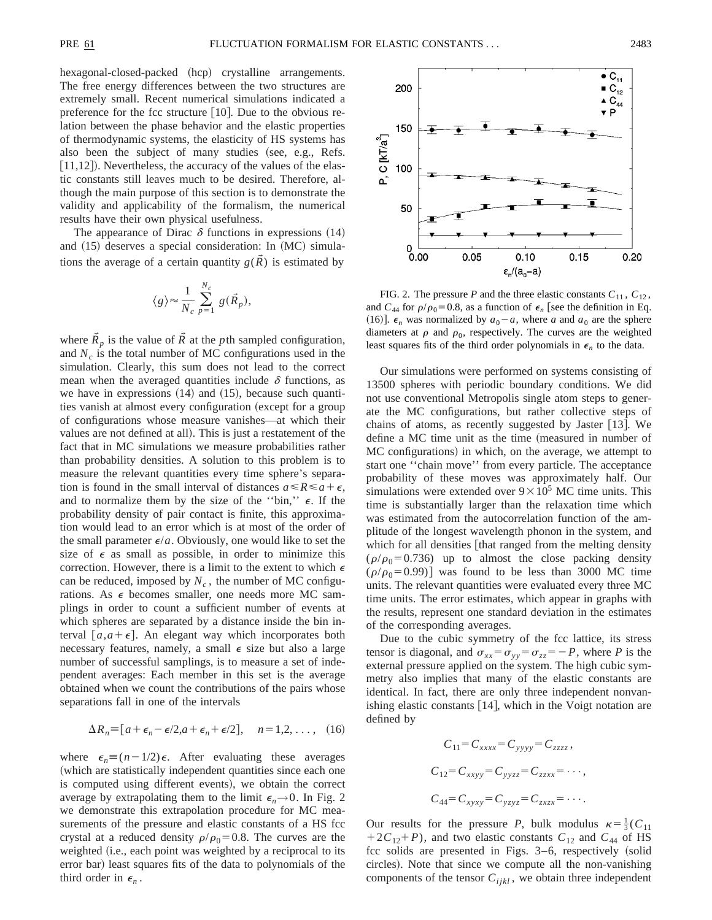hexagonal-closed-packed (hcp) crystalline arrangements. The free energy differences between the two structures are extremely small. Recent numerical simulations indicated a preference for the fcc structure  $[10]$ . Due to the obvious relation between the phase behavior and the elastic properties of thermodynamic systems, the elasticity of HS systems has also been the subject of many studies (see, e.g., Refs.  $[11,12]$ ). Nevertheless, the accuracy of the values of the elastic constants still leaves much to be desired. Therefore, although the main purpose of this section is to demonstrate the validity and applicability of the formalism, the numerical results have their own physical usefulness.

The appearance of Dirac  $\delta$  functions in expressions (14) and  $(15)$  deserves a special consideration: In  $(MC)$  simulations the average of a certain quantity  $g(\tilde{R})$  is estimated by

$$
\langle g \rangle \approx \frac{1}{N_c} \sum_{p=1}^{N_c} g(\vec{R}_p),
$$

where  $\tilde{R}_p$  is the value of  $\tilde{R}$  at the *p*th sampled configuration, and  $N_c$  is the total number of MC configurations used in the simulation. Clearly, this sum does not lead to the correct mean when the averaged quantities include  $\delta$  functions, as we have in expressions  $(14)$  and  $(15)$ , because such quantities vanish at almost every configuration (except for a group of configurations whose measure vanishes—at which their values are not defined at all). This is just a restatement of the fact that in MC simulations we measure probabilities rather than probability densities. A solution to this problem is to measure the relevant quantities every time sphere's separation is found in the small interval of distances  $a \le R \le a + \epsilon$ , and to normalize them by the size of the "bin,"  $\epsilon$ . If the probability density of pair contact is finite, this approximation would lead to an error which is at most of the order of the small parameter  $\epsilon/a$ . Obviously, one would like to set the size of  $\epsilon$  as small as possible, in order to minimize this correction. However, there is a limit to the extent to which  $\epsilon$ can be reduced, imposed by  $N_c$ , the number of MC configurations. As  $\epsilon$  becomes smaller, one needs more MC samplings in order to count a sufficient number of events at which spheres are separated by a distance inside the bin interval  $[a, a + \epsilon]$ . An elegant way which incorporates both necessary features, namely, a small  $\epsilon$  size but also a large number of successful samplings, is to measure a set of independent averages: Each member in this set is the average obtained when we count the contributions of the pairs whose separations fall in one of the intervals

$$
\Delta R_n = [a + \epsilon_n - \epsilon/2, a + \epsilon_n + \epsilon/2], \quad n = 1, 2, \dots, \quad (16)
$$

where  $\epsilon_n \equiv (n-1/2)\epsilon$ . After evaluating these averages (which are statistically independent quantities since each one is computed using different events), we obtain the correct average by extrapolating them to the limit  $\epsilon_n \rightarrow 0$ . In Fig. 2 we demonstrate this extrapolation procedure for MC measurements of the pressure and elastic constants of a HS fcc crystal at a reduced density  $\rho/\rho_0=0.8$ . The curves are the weighted (i.e., each point was weighted by a reciprocal to its error bar) least squares fits of the data to polynomials of the third order in  $\epsilon_n$ .



FIG. 2. The pressure *P* and the three elastic constants  $C_{11}$ ,  $C_{12}$ , and  $C_{44}$  for  $\rho/\rho_0=0.8$ , as a function of  $\epsilon_n$  [see the definition in Eq. (16)].  $\epsilon_n$  was normalized by  $a_0 - a$ , where *a* and  $a_0$  are the sphere diameters at  $\rho$  and  $\rho_0$ , respectively. The curves are the weighted least squares fits of the third order polynomials in  $\epsilon_n$  to the data.

Our simulations were performed on systems consisting of 13500 spheres with periodic boundary conditions. We did not use conventional Metropolis single atom steps to generate the MC configurations, but rather collective steps of chains of atoms, as recently suggested by Jaster  $[13]$ . We define a MC time unit as the time (measured in number of MC configurations) in which, on the average, we attempt to start one ''chain move'' from every particle. The acceptance probability of these moves was approximately half. Our simulations were extended over  $9 \times 10^5$  MC time units. This time is substantially larger than the relaxation time which was estimated from the autocorrelation function of the amplitude of the longest wavelength phonon in the system, and which for all densities that ranged from the melting density  $(\rho/\rho_0=0.736)$  up to almost the close packing density  $(\rho/\rho_0=0.99)$ ] was found to be less than 3000 MC time units. The relevant quantities were evaluated every three MC time units. The error estimates, which appear in graphs with the results, represent one standard deviation in the estimates of the corresponding averages.

Due to the cubic symmetry of the fcc lattice, its stress tensor is diagonal, and  $\sigma_{xx} = \sigma_{yy} = \sigma_{zz} = -P$ , where *P* is the external pressure applied on the system. The high cubic symmetry also implies that many of the elastic constants are identical. In fact, there are only three independent nonvanishing elastic constants  $[14]$ , which in the Voigt notation are defined by

$$
C_{11} = C_{xxxx} = C_{yyyy} = C_{zzzz},
$$
  
\n
$$
C_{12} = C_{xxyy} = C_{yyzz} = C_{zzxx} = \cdots,
$$
  
\n
$$
C_{44} = C_{xyxy} = C_{yzyz} = C_{zxzx} = \cdots.
$$

Our results for the pressure *P*, bulk modulus  $\kappa = \frac{1}{3} (C_{11})$  $+2C_{12}+P$ , and two elastic constants  $C_{12}$  and  $C_{44}$  of HS fcc solids are presented in Figs.  $3-6$ , respectively (solid circles). Note that since we compute all the non-vanishing components of the tensor  $C_{ijkl}$ , we obtain three independent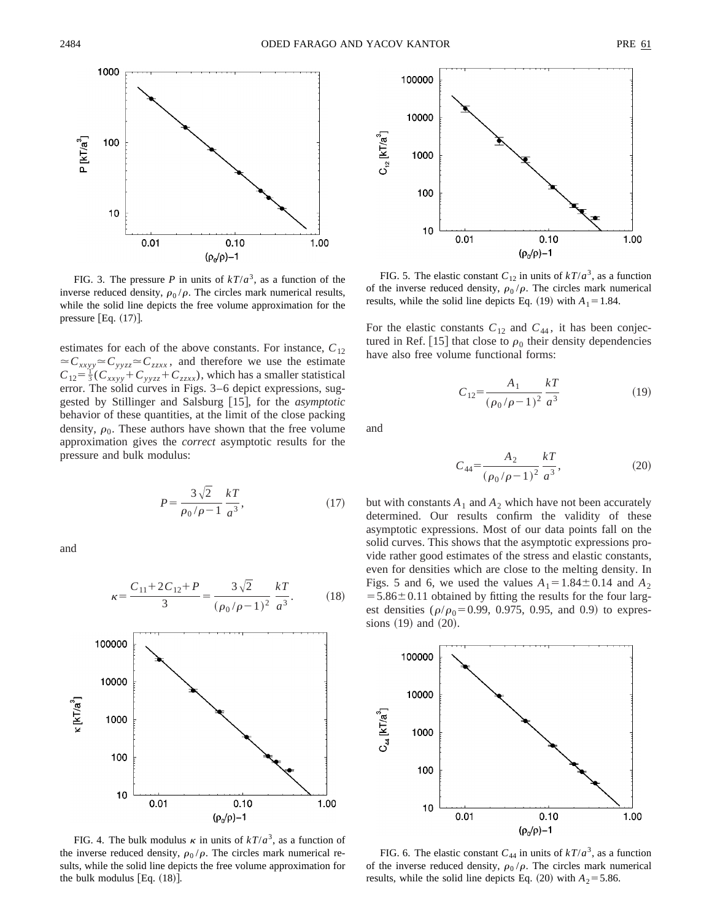

FIG. 3. The pressure *P* in units of  $kT/a^3$ , as a function of the inverse reduced density,  $\rho_0 / \rho$ . The circles mark numerical results, while the solid line depicts the free volume approximation for the pressure  $[Eq. (17)].$ 

estimates for each of the above constants. For instance,  $C_{12}$  $\approx C_{xxyy} \approx C_{yyzz} \approx C_{zzxx}$ , and therefore we use the estimate  $C_{12} = \frac{1}{3} (C_{xxyy} + C_{yyzz} + C_{zzxx})$ , which has a smaller statistical error. The solid curves in Figs. 3–6 depict expressions, suggested by Stillinger and Salsburg [15], for the *asymptotic* behavior of these quantities, at the limit of the close packing density,  $\rho_0$ . These authors have shown that the free volume approximation gives the *correct* asymptotic results for the pressure and bulk modulus:

$$
P = \frac{3\sqrt{2}}{\rho_0/\rho - 1} \frac{kT}{a^3},
$$
 (17)

and





FIG. 4. The bulk modulus  $\kappa$  in units of  $kT/a^3$ , as a function of the inverse reduced density,  $\rho_0 / \rho$ . The circles mark numerical results, while the solid line depicts the free volume approximation for the bulk modulus [Eq.  $(18)$ ].



FIG. 5. The elastic constant  $C_{12}$  in units of  $kT/a<sup>3</sup>$ , as a function of the inverse reduced density,  $\rho_0 / \rho$ . The circles mark numerical results, while the solid line depicts Eq.  $(19)$  with  $A_1 = 1.84$ .

For the elastic constants  $C_{12}$  and  $C_{44}$ , it has been conjectured in Ref. [15] that close to  $\rho_0$  their density dependencies have also free volume functional forms:

$$
C_{12} = \frac{A_1}{(\rho_0/\rho - 1)^2} \frac{kT}{a^3} \tag{19}
$$

and

$$
C_{44} = \frac{A_2}{(\rho_0/\rho - 1)^2} \frac{kT}{a^3},
$$
\n(20)

but with constants  $A_1$  and  $A_2$  which have not been accurately determined. Our results confirm the validity of these asymptotic expressions. Most of our data points fall on the solid curves. This shows that the asymptotic expressions provide rather good estimates of the stress and elastic constants, even for densities which are close to the melting density. In Figs. 5 and 6, we used the values  $A_1 = 1.84 \pm 0.14$  and  $A_2$  $=$  5.86 $\pm$  0.11 obtained by fitting the results for the four largest densities ( $\rho/\rho_0$ =0.99, 0.975, 0.95, and 0.9) to expressions  $(19)$  and  $(20)$ .



FIG. 6. The elastic constant  $C_{44}$  in units of  $kT/a^3$ , as a function of the inverse reduced density,  $\rho_0 / \rho$ . The circles mark numerical results, while the solid line depicts Eq.  $(20)$  with  $A<sub>2</sub> = 5.86$ .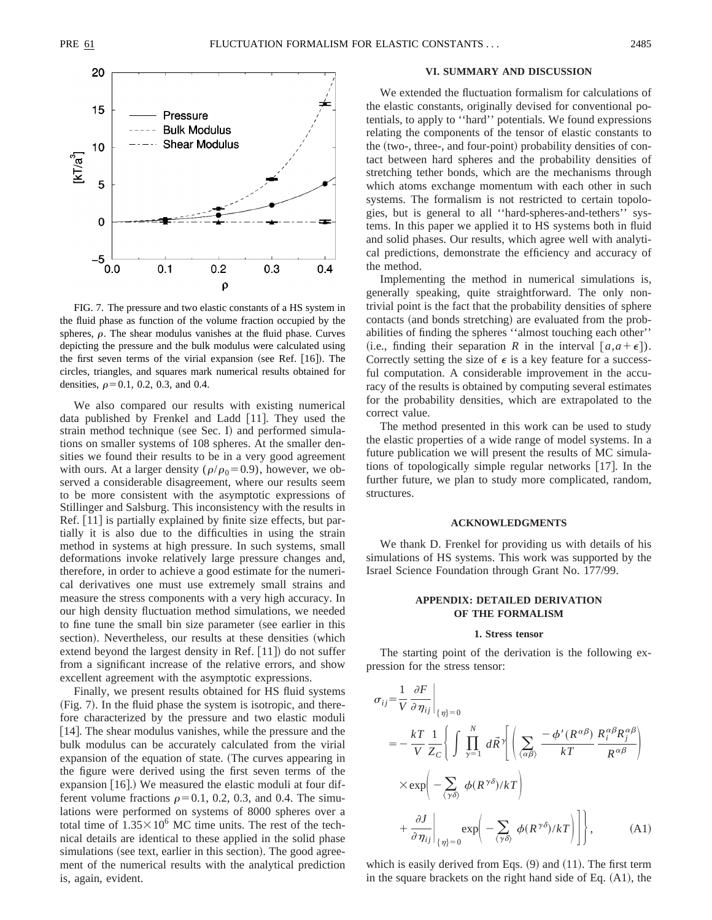

FIG. 7. The pressure and two elastic constants of a HS system in the fluid phase as function of the volume fraction occupied by the spheres,  $\rho$ . The shear modulus vanishes at the fluid phase. Curves depicting the pressure and the bulk modulus were calculated using the first seven terms of the virial expansion (see Ref.  $[16]$ ). The circles, triangles, and squares mark numerical results obtained for densities,  $\rho = 0.1$ , 0.2, 0.3, and 0.4.

We also compared our results with existing numerical data published by Frenkel and Ladd  $[11]$ . They used the strain method technique (see Sec. I) and performed simulations on smaller systems of 108 spheres. At the smaller densities we found their results to be in a very good agreement with ours. At a larger density ( $\rho/\rho_0=0.9$ ), however, we observed a considerable disagreement, where our results seem to be more consistent with the asymptotic expressions of Stillinger and Salsburg. This inconsistency with the results in Ref.  $|11|$  is partially explained by finite size effects, but partially it is also due to the difficulties in using the strain method in systems at high pressure. In such systems, small deformations invoke relatively large pressure changes and, therefore, in order to achieve a good estimate for the numerical derivatives one must use extremely small strains and measure the stress components with a very high accuracy. In our high density fluctuation method simulations, we needed to fine tune the small bin size parameter (see earlier in this section). Nevertheless, our results at these densities (which extend beyond the largest density in Ref.  $[11]$  do not suffer from a significant increase of the relative errors, and show excellent agreement with the asymptotic expressions.

Finally, we present results obtained for HS fluid systems  $(Fig. 7)$ . In the fluid phase the system is isotropic, and therefore characterized by the pressure and two elastic moduli [14]. The shear modulus vanishes, while the pressure and the bulk modulus can be accurately calculated from the virial expansion of the equation of state. (The curves appearing in the figure were derived using the first seven terms of the expansion  $[16]$ .) We measured the elastic moduli at four different volume fractions  $\rho=0.1, 0.2, 0.3,$  and 0.4. The simulations were performed on systems of 8000 spheres over a total time of  $1.35 \times 10^6$  MC time units. The rest of the technical details are identical to these applied in the solid phase simulations (see text, earlier in this section). The good agreement of the numerical results with the analytical prediction is, again, evident.

# **VI. SUMMARY AND DISCUSSION**

We extended the fluctuation formalism for calculations of the elastic constants, originally devised for conventional potentials, to apply to ''hard'' potentials. We found expressions relating the components of the tensor of elastic constants to the (two-, three-, and four-point) probability densities of contact between hard spheres and the probability densities of stretching tether bonds, which are the mechanisms through which atoms exchange momentum with each other in such systems. The formalism is not restricted to certain topologies, but is general to all ''hard-spheres-and-tethers'' systems. In this paper we applied it to HS systems both in fluid and solid phases. Our results, which agree well with analytical predictions, demonstrate the efficiency and accuracy of the method.

Implementing the method in numerical simulations is, generally speaking, quite straightforward. The only nontrivial point is the fact that the probability densities of sphere contacts (and bonds stretching) are evaluated from the probabilities of finding the spheres ''almost touching each other'' (i.e., finding their separation *R* in the interval  $[a, a + \epsilon]$ ). Correctly setting the size of  $\epsilon$  is a key feature for a successful computation. A considerable improvement in the accuracy of the results is obtained by computing several estimates for the probability densities, which are extrapolated to the correct value.

The method presented in this work can be used to study the elastic properties of a wide range of model systems. In a future publication we will present the results of MC simulations of topologically simple regular networks  $[17]$ . In the further future, we plan to study more complicated, random, structures.

#### **ACKNOWLEDGMENTS**

We thank D. Frenkel for providing us with details of his simulations of HS systems. This work was supported by the Israel Science Foundation through Grant No. 177/99.

# **APPENDIX: DETAILED DERIVATION OF THE FORMALISM**

#### **1. Stress tensor**

The starting point of the derivation is the following expression for the stress tensor:

$$
\sigma_{ij} = \frac{1}{V} \frac{\partial F}{\partial \eta_{ij}}\Big|_{\{\eta\}=0}
$$
\n
$$
= -\frac{kT}{V} \frac{1}{Z_C} \Biggl\{ \int \prod_{\gamma=1}^N d\vec{R}^{\gamma} \Biggl( \Biggl( \sum_{\alpha\beta} \frac{-\phi'(R^{\alpha\beta})}{kT} \frac{R_i^{\alpha\beta}R_j^{\alpha\beta}}{R^{\alpha\beta}} \Biggr)
$$
\n
$$
\times \exp \Biggl( -\sum_{\langle \gamma\delta \rangle} \phi(R^{\gamma\delta})/kT \Biggr)
$$
\n
$$
+ \frac{\partial J}{\partial \eta_{ij}} \Biggl|_{\{\eta\}=0} \exp \Biggl( -\sum_{\langle \gamma\delta \rangle} \phi(R^{\gamma\delta})/kT \Biggr) \Biggr] \Biggr\}, \tag{A1}
$$

which is easily derived from Eqs.  $(9)$  and  $(11)$ . The first term in the square brackets on the right hand side of Eq.  $(A1)$ , the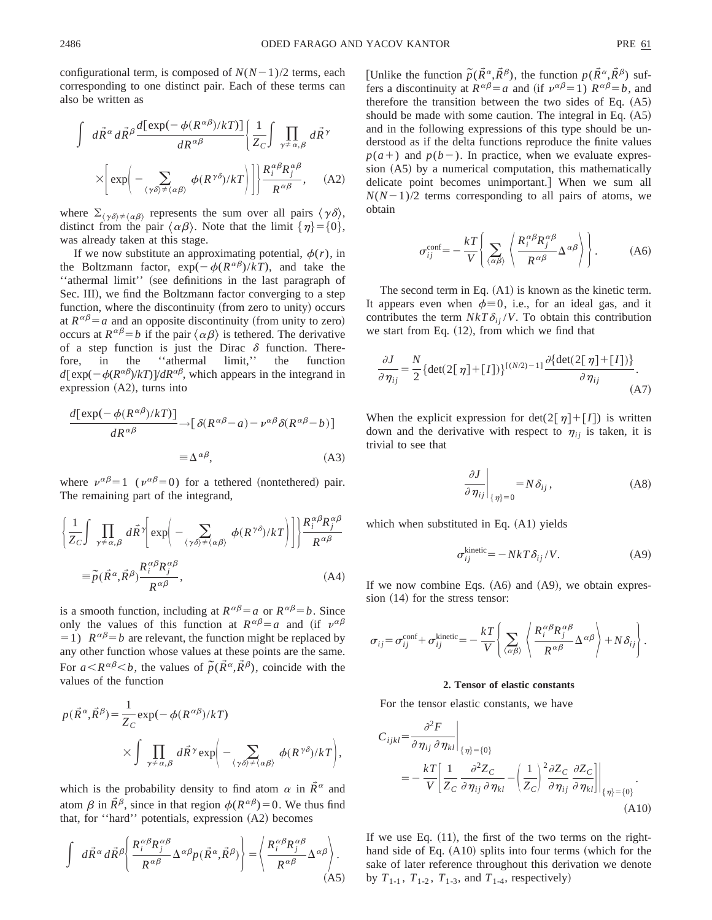configurational term, is composed of  $N(N-1)/2$  terms, each corresponding to one distinct pair. Each of these terms can also be written as

$$
\int d\vec{R}^{\alpha} d\vec{R}^{\beta} \frac{d[\exp(-\phi(R^{\alpha\beta})/kT)]}{dR^{\alpha\beta}} \left\{ \frac{1}{Z_C} \int \prod_{\gamma \neq \alpha, \beta} d\vec{R}^{\gamma} \times \left[ \exp\left(-\sum_{(\gamma\delta) \neq \langle \alpha\beta \rangle} \phi(R^{\gamma\delta})/kT \right) \right] \right\} \frac{R_i^{\alpha\beta} R_j^{\alpha\beta}}{R^{\alpha\beta}}, \quad (A2)
$$

where  $\Sigma_{\langle \gamma \delta \rangle \neq \langle \alpha \beta \rangle}$  represents the sum over all pairs  $\langle \gamma \delta \rangle$ , distinct from the pair  $\langle \alpha \beta \rangle$ . Note that the limit  $\{\eta\} = \{0\},\$ was already taken at this stage.

If we now substitute an approximating potential,  $\phi(r)$ , in the Boltzmann factor,  $exp(-\phi(R^{\alpha\beta})/kT)$ , and take the "athermal limit" (see definitions in the last paragraph of Sec. III), we find the Boltzmann factor converging to a step function, where the discontinuity (from zero to unity) occurs at  $R^{\alpha\beta} = a$  and an opposite discontinuity (from unity to zero) occurs at  $R^{\alpha\beta} = b$  if the pair  $\langle \alpha\beta \rangle$  is tethered. The derivative of a step function is just the Dirac  $\delta$  function. Therefore, in the ''athermal limit,'' the function  $d\left[\exp(-\phi(R^{\alpha\beta})/kT\right]/dR^{\alpha\beta}$ , which appears in the integrand in expression  $(A2)$ , turns into

$$
\frac{d[\exp(-\phi(R^{\alpha\beta})/kT)]}{dR^{\alpha\beta}} \to [\delta(R^{\alpha\beta} - a) - \nu^{\alpha\beta}\delta(R^{\alpha\beta} - b)]
$$

$$
\equiv \Delta^{\alpha\beta}, \tag{A3}
$$

where  $v^{\alpha\beta} = 1$  ( $v^{\alpha\beta} = 0$ ) for a tethered (nontethered) pair. The remaining part of the integrand,

$$
\left\{\frac{1}{Z_C}\int \prod_{\gamma \neq \alpha,\beta} d\vec{R}^{\gamma} \Bigg[ \exp\Bigg( - \sum_{(\gamma \delta) \neq (\alpha \beta)} \phi(R^{\gamma \delta}) / kT \Bigg) \Bigg] \right\} \frac{R_i^{\alpha \beta} R_j^{\alpha \beta}}{R^{\alpha \beta}}
$$
  

$$
\equiv \widetilde{p}(\vec{R}^{\alpha}, \vec{R}^{\beta}) \frac{R_i^{\alpha \beta} R_j^{\alpha \beta}}{R^{\alpha \beta}},
$$
 (A4)

is a smooth function, including at  $R^{\alpha\beta} = a$  or  $R^{\alpha\beta} = b$ . Since only the values of this function at  $R^{\alpha\beta} = a$  and (if  $v^{\alpha\beta}$  $=1$ ) *R*<sup> $\alpha\beta$ </sup> = *b* are relevant, the function might be replaced by any other function whose values at these points are the same. For  $a < R^{\alpha\beta} < b$ , the values of  $\tilde{p}(\vec{R}^{\alpha}, \vec{R}^{\beta})$ , coincide with the values of the function

$$
p(\vec{R}^{\alpha}, \vec{R}^{\beta}) = \frac{1}{Z_C} \exp(-\phi(R^{\alpha \beta})/kT)
$$

$$
\times \int \prod_{\gamma \neq \alpha, \beta} d\vec{R}^{\gamma} \exp\left(-\sum_{\langle \gamma \delta \rangle \neq \langle \alpha \beta \rangle} \phi(R^{\gamma \delta})/kT\right),
$$

which is the probability density to find atom  $\alpha$  in  $\vec{R}^{\alpha}$  and atom  $\beta$  in  $\vec{R}^{\beta}$ , since in that region  $\phi(R^{\alpha\beta})=0$ . We thus find that, for "hard" potentials, expression  $(A2)$  becomes

$$
\int d\vec{R}^{\alpha} d\vec{R}^{\beta} \left\{ \frac{R_i^{\alpha\beta} R_j^{\alpha\beta}}{R^{\alpha\beta}} \Delta^{\alpha\beta} p(\vec{R}^{\alpha}, \vec{R}^{\beta}) \right\} = \left\langle \frac{R_i^{\alpha\beta} R_j^{\alpha\beta}}{R^{\alpha\beta}} \Delta^{\alpha\beta} \right\rangle.
$$
\n(A5)

[Unlike the function  $\tilde{p}(\vec{R}^{\alpha}, \vec{R}^{\beta})$ , the function  $p(\vec{R}^{\alpha}, \vec{R}^{\beta})$  suffers a discontinuity at  $R^{\alpha\beta} = a$  and (if  $v^{\alpha\beta} = 1$ )  $R^{\alpha\beta} = b$ , and therefore the transition between the two sides of Eq.  $(A5)$ should be made with some caution. The integral in Eq.  $(A5)$ and in the following expressions of this type should be understood as if the delta functions reproduce the finite values  $p(a+)$  and  $p(b-)$ . In practice, when we evaluate expression  $(A5)$  by a numerical computation, this mathematically delicate point becomes unimportant. When we sum all  $N(N-1)/2$  terms corresponding to all pairs of atoms, we obtain

$$
\sigma_{ij}^{\text{conf}} = -\frac{kT}{V} \left\{ \sum_{\alpha\beta} \left\langle \frac{R_i^{\alpha\beta} R_j^{\alpha\beta}}{R^{\alpha\beta}} \Delta^{\alpha\beta} \right\rangle \right\}.
$$
 (A6)

The second term in Eq.  $(A1)$  is known as the kinetic term. It appears even when  $\phi \equiv 0$ , i.e., for an ideal gas, and it contributes the term  $NkT\delta_{ij}/V$ . To obtain this contribution we start from Eq.  $(12)$ , from which we find that

$$
\frac{\partial J}{\partial \eta_{ij}} = \frac{N}{2} \{ \det(2[\eta] + [I]) \}^{\left\{ (N/2) - 1 \right\}} \frac{\partial \{ \det(2[\eta] + [I]) \}}{\partial \eta_{ij}}.
$$
\n(A7)

When the explicit expression for  $\det(2[\eta]+[I])$  is written down and the derivative with respect to  $\eta_{ij}$  is taken, it is trivial to see that

$$
\left. \frac{\partial J}{\partial \eta_{ij}} \right|_{\{\eta\}=0} = N \delta_{ij},\tag{A8}
$$

which when substituted in Eq.  $(A1)$  yields

$$
\sigma_{ij}^{\text{kinetic}} = -NkT\delta_{ij}/V. \tag{A9}
$$

If we now combine Eqs.  $(A6)$  and  $(A9)$ , we obtain expression  $(14)$  for the stress tensor:

$$
\sigma_{ij} = \sigma_{ij}^{\text{conf}} + \sigma_{ij}^{\text{kinetic}} = -\frac{kT}{V} \left\{ \sum_{\langle \alpha \beta \rangle} \left\langle \frac{R_i^{\alpha \beta} R_j^{\alpha \beta}}{R^{\alpha \beta}} \Delta^{\alpha \beta} \right\rangle + N \delta_{ij} \right\}.
$$

### **2. Tensor of elastic constants**

For the tensor elastic constants, we have

$$
C_{ijkl} = \frac{\partial^2 F}{\partial \eta_{ij} \partial \eta_{kl}} \bigg|_{\{\eta\} = \{0\}}
$$
  
= 
$$
- \frac{kT}{V} \bigg[ \frac{1}{Z_C} \frac{\partial^2 Z_C}{\partial \eta_{ij} \partial \eta_{kl}} - \bigg( \frac{1}{Z_C} \bigg)^2 \frac{\partial Z_C}{\partial \eta_{ij} \partial \eta_{kl}} \bigg] \bigg|_{\{\eta\} = \{0\}}.
$$
  
(A10)

If we use Eq.  $(11)$ , the first of the two terms on the righthand side of Eq.  $(A10)$  splits into four terms (which for the sake of later reference throughout this derivation we denote by  $T_{1-1}$ ,  $T_{1-2}$ ,  $T_{1-3}$ , and  $T_{1-4}$ , respectively)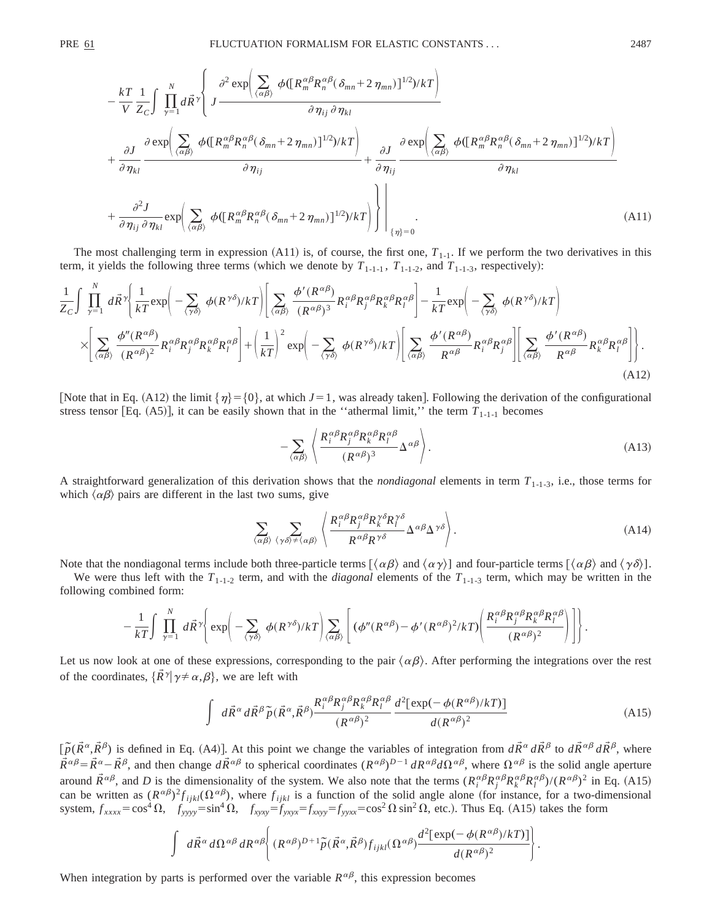$$
-\frac{kT}{V}\frac{1}{Z_C}\int \prod_{\gamma=1}^{N} d\vec{R}^{\gamma} \left\{ J \frac{\partial^2 \exp\left(\sum_{\langle\alpha\beta\rangle}\phi([R_m^{\alpha\beta}R_n^{\alpha\beta}(\delta_{mn}+2\eta_{mn})]^{1/2})/kT\right)}{\partial \eta_{ij}\partial \eta_{kl}} + \frac{\partial J}{\partial \eta_{kl}} \frac{\partial \exp\left(\sum_{\langle\alpha\beta\rangle}\phi([R_m^{\alpha\beta}R_n^{\alpha\beta}(\delta_{mn}+2\eta_{mn})]^{1/2})/kT\right)}{\partial \eta_{ij}} + \frac{\partial J}{\partial \eta_{ij}} \frac{\partial \exp\left(\sum_{\langle\alpha\beta\rangle}\phi([R_m^{\alpha\beta}R_n^{\alpha\beta}(\delta_{mn}+2\eta_{mn})]^{1/2})/kT\right)}{\partial \eta_{kl}} + \frac{\partial J}{\partial \eta_{ij}} \frac{\partial \exp\left(\sum_{\langle\alpha\beta\rangle}\phi([R_m^{\alpha\beta}R_n^{\alpha\beta}(\delta_{mn}+2\eta_{mn})]^{1/2})/kT\right)}{\partial \eta_{kl}}
$$
\n
$$
+ \frac{\partial^2 J}{\partial \eta_{ij}\partial \eta_{kl}} \exp\left(\sum_{\langle\alpha\beta\rangle}\phi([R_m^{\alpha\beta}R_n^{\alpha\beta}(\delta_{mn}+2\eta_{mn})]^{1/2})/kT\right) \Bigg\} \Bigg|_{\{\eta\}=0}.
$$
\n(A11)

The most challenging term in expression  $(A11)$  is, of course, the first one,  $T_{1-1}$ . If we perform the two derivatives in this term, it yields the following three terms (which we denote by  $T_{1-1-1}$ ,  $T_{1-1-2}$ , and  $T_{1-1-3}$ , respectively):

$$
\frac{1}{Z_{C}}\int \prod_{\gamma=1}^{N} d\vec{R}^{\gamma} \Biggl\{ \frac{1}{kT} \exp \Biggl(-\sum_{\langle \gamma \delta \rangle} \phi(R^{\gamma \delta})/kT \Biggr) \Biggl[ \sum_{\langle \alpha \beta \rangle} \frac{\phi'(R^{\alpha \beta})}{(R^{\alpha \beta})^3} R^{\alpha \beta}_{i} R^{\alpha \beta}_{j} R^{\alpha \beta}_{k} R^{\alpha \beta}_{l} R^{\alpha \beta}_{l} \Biggr] - \frac{1}{kT} \exp \Biggl(-\sum_{\langle \gamma \delta \rangle} \phi(R^{\gamma \delta})/kT \Biggr) \Biggr] \times \Biggl[ \sum_{\langle \alpha \beta \rangle} \frac{\phi''(R^{\alpha \beta})}{(R^{\alpha \beta})^2} R^{\alpha \beta}_{i} R^{\alpha \beta}_{j} R^{\alpha \beta}_{k} R^{\alpha \beta}_{l} \Biggr] + \Biggl( \frac{1}{kT} \Biggr)^2 \exp \Biggl(-\sum_{\langle \gamma \delta \rangle} \phi(R^{\gamma \delta})/kT \Biggr) \Biggl[ \sum_{\langle \alpha \beta \rangle} \frac{\phi'(R^{\alpha \beta})}{R^{\alpha \beta}} R^{\alpha \beta}_{i} R^{\alpha \beta}_{j} R^{\alpha \beta}_{j} R^{\alpha \beta}_{l} R^{\alpha \beta}_{l} R^{\alpha \beta}_{l} \Biggr] \Biggr].
$$
\n(A12)

[Note that in Eq. (A12) the limit  $\{\eta\} = \{0\}$ , at which  $J=1$ , was already taken]. Following the derivation of the configurational stress tensor [Eq.  $(A5)$ ], it can be easily shown that in the "athermal limit," the term  $T_{1-1-1}$  becomes

$$
-\sum_{\langle\alpha\beta\rangle}\left\langle \frac{R_i^{\alpha\beta}R_j^{\alpha\beta}R_k^{\alpha\beta}R_l^{\alpha\beta}}{(R^{\alpha\beta})^3}\Delta^{\alpha\beta}\right\rangle.
$$
 (A13)

A straightforward generalization of this derivation shows that the *nondiagonal* elements in term *T*1-1-3, i.e., those terms for which  $\langle \alpha \beta \rangle$  pairs are different in the last two sums, give

$$
\sum_{\langle\alpha\beta\rangle}\sum_{\langle\gamma\delta\rangle\neq\langle\alpha\beta\rangle}\left\langle\frac{R_i^{\alpha\beta}R_j^{\alpha\beta}R_k^{\gamma\delta}R_l^{\gamma\delta}}{R^{\alpha\beta}R^{\gamma\delta}}\Delta^{\alpha\beta}\Delta^{\gamma\delta}\right\rangle.
$$
\n(A14)

Note that the nondiagonal terms include both three-particle terms  $[\langle \alpha \beta \rangle$  and  $\langle \alpha \gamma \rangle]$  and four-particle terms  $[\langle \alpha \beta \rangle$  and  $\langle \gamma \delta \rangle]$ .

We were thus left with the  $T_{1-1-2}$  term, and with the *diagonal* elements of the  $T_{1-1-3}$  term, which may be written in the following combined form:

$$
-\frac{1}{kT}\int\prod_{\gamma=1}^N d\vec{R}^{\gamma}\Bigg\{\exp\Bigg(-\sum_{\langle\gamma\delta\rangle}\phi(R^{\gamma\delta})/kT\Bigg)\sum_{\langle\alpha\beta\rangle}\Bigg[\Big(\phi''(R^{\alpha\beta})-\phi'(R^{\alpha\beta})^2/kT\Big)\Bigg(\frac{R_i^{\alpha\beta}R_j^{\alpha\beta}R_k^{\alpha\beta}R_l^{\alpha\beta}}{(R^{\alpha\beta})^2}\Bigg)\Bigg]\Bigg\}.
$$

Let us now look at one of these expressions, corresponding to the pair  $\langle \alpha \beta \rangle$ . After performing the integrations over the rest of the coordinates,  $\{\vec{R}^{\gamma}|\gamma \neq \alpha, \beta\}$ , we are left with

$$
\int d\vec{R}^{\alpha} d\vec{R}^{\beta} \widetilde{p} (\vec{R}^{\alpha}, \vec{R}^{\beta}) \frac{R_i^{\alpha \beta} R_j^{\alpha \beta} R_k^{\alpha \beta}}{(R^{\alpha \beta})^2} \frac{d^2 [\exp(-\phi (R^{\alpha \beta})/kT)]}{d(R^{\alpha \beta})^2}
$$
(A15)

 $\left[ \tilde{p}(\vec{R}^{\alpha}, \vec{R}^{\beta}) \right]$  is defined in Eq. (A4)]. At this point we change the variables of integration from  $d\vec{R}^{\alpha} d\vec{R}^{\beta}$  to  $d\vec{R}^{\alpha\beta} d\vec{R}^{\beta}$ , where  $R^{\alpha\beta} = \vec{R}^{\alpha} - \vec{R}^{\beta}$ , and then change  $d\vec{R}^{\alpha\beta}$  to spherical coordinates  $(R^{\alpha\beta})^{D-1} dR^{\alpha\beta} d\Omega^{\alpha\beta}$ , where  $\Omega^{\alpha\beta}$  is the solid angle aperture around  $\vec{R}^{\alpha\beta}$ , and *D* is the dimensionality of the system. We also note that the terms  $(R_i^{\alpha\beta}R_j^{\alpha\beta}R_k^{\alpha\beta}R_l^{\alpha\beta})/(R^{\alpha\beta})^2$  in Eq. (A15) can be written as  $(R^{\alpha\beta})^2 f_{ijkl}(\Omega^{\alpha\beta})$ , where  $f_{ijkl}$  is a function of the solid angle alone (for instance, for a two-dimensional system,  $f_{xxxx} = \cos^4 \Omega$ ,  $f_{yyyy} = \sin^4 \Omega$ ,  $f_{xyxy} = f_{yxyx} = f_{xyyy} = f_{yyx} = \cos^2 \Omega \sin^2 \Omega$ , etc.). Thus Eq. (A15) takes the form

$$
\int d\vec{R}^{\alpha} d\Omega^{\alpha\beta} dR^{\alpha\beta} \Bigg\{ (R^{\alpha\beta})^{D+1} \widetilde{p}(\vec{R}^{\alpha}, \vec{R}^{\beta}) f_{ijkl}(\Omega^{\alpha\beta}) \frac{d^2[\exp(-\phi(R^{\alpha\beta})/kT)]}{d(R^{\alpha\beta})^2} \Bigg\}.
$$

When integration by parts is performed over the variable  $R^{\alpha\beta}$ , this expression becomes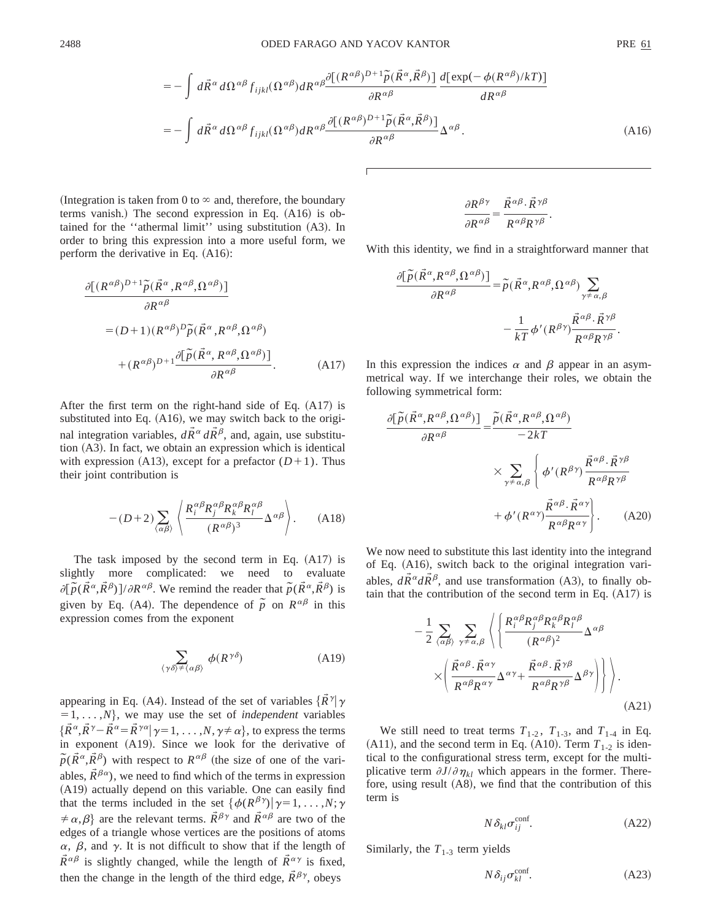$$
= -\int d\vec{R}^{\alpha} d\Omega^{\alpha\beta} f_{ijkl}(\Omega^{\alpha\beta}) dR^{\alpha\beta} \frac{\partial [(R^{\alpha\beta})^{D+1} \tilde{p}(\vec{R}^{\alpha}, \vec{R}^{\beta})]}{\partial R^{\alpha\beta}} \frac{d[\exp(-\phi(R^{\alpha\beta})/kT)]}{dR^{\alpha\beta}}
$$

$$
= -\int d\vec{R}^{\alpha} d\Omega^{\alpha\beta} f_{ijkl}(\Omega^{\alpha\beta}) dR^{\alpha\beta} \frac{\partial [(R^{\alpha\beta})^{D+1} \tilde{p}(\vec{R}^{\alpha}, \vec{R}^{\beta})]}{\partial R^{\alpha\beta}} \Delta^{\alpha\beta}.
$$
(A16)

(Integration is taken from 0 to  $\infty$  and, therefore, the boundary terms vanish.) The second expression in Eq.  $(A16)$  is obtained for the "athermal limit" using substitution  $(A3)$ . In order to bring this expression into a more useful form, we perform the derivative in Eq.  $(A16)$ :

$$
\frac{\partial \left[ (R^{\alpha\beta})^{D+1} \tilde{p}(\vec{R}^{\alpha}, R^{\alpha\beta}, \Omega^{\alpha\beta}) \right]}{\partial R^{\alpha\beta}}
$$
\n
$$
= (D+1)(R^{\alpha\beta})^D \tilde{p}(\vec{R}^{\alpha}, R^{\alpha\beta}, \Omega^{\alpha\beta})
$$
\n
$$
+ (R^{\alpha\beta})^{D+1} \frac{\partial \left[ \tilde{p}(\vec{R}^{\alpha}, R^{\alpha\beta}, \Omega^{\alpha\beta}) \right]}{\partial R^{\alpha\beta}}. \tag{A17}
$$

After the first term on the right-hand side of Eq.  $(A17)$  is substituted into Eq.  $(A16)$ , we may switch back to the original integration variables,  $d\vec{R}^{\alpha} d\vec{R}^{\beta}$ , and, again, use substitution  $(A3)$ . In fact, we obtain an expression which is identical with expression  $(A13)$ , except for a prefactor  $(D+1)$ . Thus their joint contribution is

$$
-(D+2)\sum_{\langle\alpha\beta\rangle}\left\langle\frac{R_i^{\alpha\beta}R_j^{\alpha\beta}R_k^{\alpha\beta}R_l^{\alpha\beta}}{(R^{\alpha\beta})^3}\Delta^{\alpha\beta}\right\rangle. \tag{A18}
$$

The task imposed by the second term in Eq.  $(A17)$  is slightly more complicated: we need to evaluate  $\partial[\tilde{p}(\vec{R}^{\alpha}, \vec{R}^{\beta})]/\partial R^{\alpha\beta}$ . We remind the reader that  $\tilde{p}(\vec{R}^{\alpha}, \vec{R}^{\beta})$  is given by Eq. (A4). The dependence of  $\tilde{p}$  on  $R^{\alpha\beta}$  in this expression comes from the exponent

$$
\sum_{(\gamma\delta)\neq(\alpha\beta)} \phi(R^{\gamma\delta}) \tag{A19}
$$

appearing in Eq. (A4). Instead of the set of variables  $\{R^{\gamma}|\gamma\}$  $=1, \ldots, N$ , we may use the set of *independent* variables  $\{\vec{R}^{\alpha}, \vec{R}^{\gamma} - \vec{R}^{\alpha} = \vec{R}^{\gamma\alpha} | \gamma = 1, \ldots, N, \gamma \neq \alpha\},$  to express the terms in exponent  $(A19)$ . Since we look for the derivative of  $\tilde{p}(\vec{R}^{\alpha}, \vec{R}^{\beta})$  with respect to  $R^{\alpha\beta}$  (the size of one of the variables,  $\vec{R}^{\beta\alpha}$ ), we need to find which of the terms in expression  $(A19)$  actually depend on this variable. One can easily find that the terms included in the set  $\{\phi(R^{\beta\gamma})|\gamma=1,\ldots,N;\gamma\}$  $\neq \alpha, \beta$  are the relevant terms.  $\vec{R}^{\beta\gamma}$  and  $\vec{R}^{\alpha\beta}$  are two of the edges of a triangle whose vertices are the positions of atoms  $\alpha$ ,  $\beta$ , and  $\gamma$ . It is not difficult to show that if the length of  $\vec{R}^{\alpha\beta}$  is slightly changed, while the length of  $\vec{R}^{\alpha\gamma}$  is fixed, then the change in the length of the third edge,  $\vec{R}^{\beta\gamma}$ , obeys

$$
\frac{\partial R^{\beta\gamma}}{\partial R^{\alpha\beta}} = \frac{\vec{R}^{\alpha\beta} \cdot \vec{R}^{\gamma\beta}}{R^{\alpha\beta}R^{\gamma\beta}}.
$$

With this identity, we find in a straightforward manner that

$$
\frac{\partial[\tilde{p}(\vec{R}^{\alpha}, R^{\alpha\beta}, \Omega^{\alpha\beta})]}{\partial R^{\alpha\beta}} = \tilde{p}(\vec{R}^{\alpha}, R^{\alpha\beta}, \Omega^{\alpha\beta}) \sum_{\gamma \neq \alpha, \beta}
$$

$$
- \frac{1}{kT} \phi'(R^{\beta\gamma}) \frac{\vec{R}^{\alpha\beta} \cdot \vec{R}^{\gamma\beta}}{R^{\alpha\beta} R^{\gamma\beta}}.
$$

In this expression the indices  $\alpha$  and  $\beta$  appear in an asymmetrical way. If we interchange their roles, we obtain the following symmetrical form:

$$
\frac{\partial[\tilde{p}(\vec{R}^{\alpha},R^{\alpha\beta},\Omega^{\alpha\beta})]}{\partial R^{\alpha\beta}} = \frac{\tilde{p}(\vec{R}^{\alpha},R^{\alpha\beta},\Omega^{\alpha\beta})}{-2kT} \times \sum_{\gamma \neq \alpha,\beta} \left\{ \phi'(R^{\beta\gamma}) \frac{\vec{R}^{\alpha\beta} \cdot \vec{R}^{\gamma\beta}}{R^{\alpha\beta}R^{\gamma\beta}} + \phi'(R^{\alpha\gamma}) \frac{\vec{R}^{\alpha\beta} \cdot \vec{R}^{\alpha\gamma}}{R^{\alpha\beta}R^{\alpha\gamma}} \right\}.
$$
 (A20)

We now need to substitute this last identity into the integrand of Eq.  $(A16)$ , switch back to the original integration variables,  $d\vec{R}^{\alpha} d\vec{R}^{\beta}$ , and use transformation (A3), to finally obtain that the contribution of the second term in Eq.  $(A17)$  is

$$
-\frac{1}{2} \sum_{\langle \alpha \beta \rangle} \sum_{\gamma \neq \alpha, \beta} \left\langle \left\{ \frac{R_i^{\alpha \beta} R_j^{\alpha \beta} R_k^{\alpha \beta} R_l^{\alpha \beta}}{(R^{\alpha \beta})^2} \Delta^{\alpha \beta} \right\} \times \left( \frac{\vec{R}^{\alpha \beta} \cdot \vec{R}^{\alpha \gamma}}{R^{\alpha \beta} R^{\alpha \gamma}} \Delta^{\alpha \gamma} + \frac{\vec{R}^{\alpha \beta} \cdot \vec{R}^{\gamma \beta}}{R^{\alpha \beta} R^{\gamma \beta}} \Delta^{\beta \gamma} \right) \right\rangle \right). \tag{A21}
$$

We still need to treat terms  $T_{1-2}$ ,  $T_{1-3}$ , and  $T_{1-4}$  in Eq.  $(A11)$ , and the second term in Eq.  $(A10)$ . Term  $T_{1-2}$  is identical to the configurational stress term, except for the multiplicative term  $\partial J/\partial \eta_{kl}$  which appears in the former. Therefore, using result  $(A8)$ , we find that the contribution of this term is

$$
N\delta_{kl}\sigma_{ij}^{\text{conf}}.\tag{A22}
$$

Similarly, the  $T_{1-3}$  term yields

$$
N\delta_{ij}\sigma_{kl}^{\text{conf}}.\tag{A23}
$$